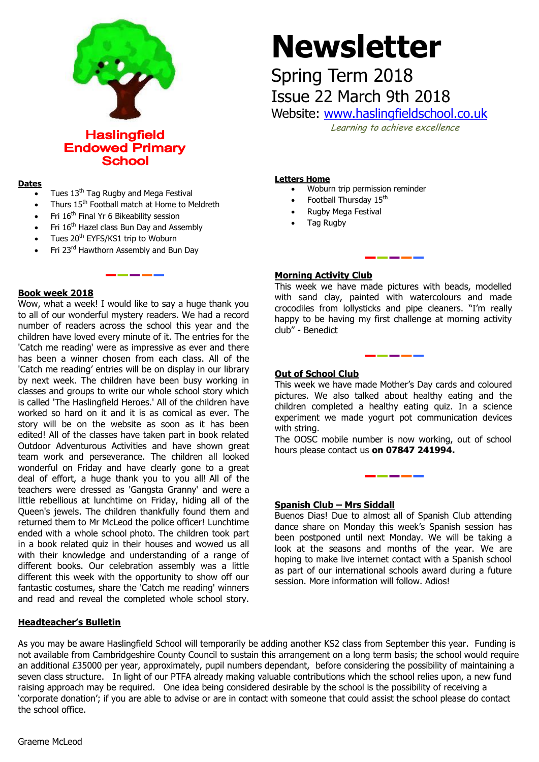

**Haslingfield Endowed Primary School** 

#### **Dates**

- Tues 13<sup>th</sup> Tag Rugby and Mega Festival
- Thurs 15th Football match at Home to Meldreth

. <u>. . . . . . .</u>

- Fri 16th Final Yr 6 Bikeability session
- Fri 16<sup>th</sup> Hazel class Bun Day and Assembly
- Tues 20<sup>th</sup> EYFS/KS1 trip to Woburn
- Fri 23<sup>rd</sup> Hawthorn Assembly and Bun Day

# **Book week 2018**

Wow, what a week! I would like to say a huge thank you to all of our wonderful mystery readers. We had a record number of readers across the school this year and the children have loved every minute of it. The entries for the 'Catch me reading' were as impressive as ever and there has been a winner chosen from each class. All of the 'Catch me reading' entries will be on display in our library by next week. The children have been busy working in classes and groups to write our whole school story which is called 'The Haslingfield Heroes.' All of the children have worked so hard on it and it is as comical as ever. The story will be on the website as soon as it has been edited! All of the classes have taken part in book related Outdoor Adventurous Activities and have shown great team work and perseverance. The children all looked wonderful on Friday and have clearly gone to a great deal of effort, a huge thank you to you all! All of the teachers were dressed as 'Gangsta Granny' and were a little rebellious at lunchtime on Friday, hiding all of the Queen's jewels. The children thankfully found them and returned them to Mr McLeod the police officer! Lunchtime ended with a whole school photo. The children took part in a book related quiz in their houses and wowed us all with their knowledge and understanding of a range of different books. Our celebration assembly was a little different this week with the opportunity to show off our fantastic costumes, share the 'Catch me reading' winners and read and reveal the completed whole school story.

# **Headteacher's Bulletin**

# **Newsletter**

Spring Term 2018 Issue 22 March 9th 2018

Website: [www.haslingfieldschool.co.uk](http://www.haslingfieldschool.co.uk/)

Learning to achieve excellence

#### **Letters Home**

- Woburn trip permission reminder
- Football Thursday 15<sup>th</sup>
- Rugby Mega Festival
- Tag Rugby

# **Morning Activity Club**

This week we have made pictures with beads, modelled with sand clay, painted with watercolours and made crocodiles from lollysticks and pipe cleaners. "I'm really happy to be having my first challenge at morning activity club" - Benedict

### **Out of School Club**

 experiment we made yogurt pot communication devices This week we have made Mother's Day cards and coloured pictures. We also talked about healthy eating and the children completed a healthy eating quiz. In a science with string.

 The OOSC mobile number is now working, out of school hours please contact us **on 07847 241994.**

-------

#### **Spanish Club – Mrs Siddall**

Buenos Dias! Due to almost all of Spanish Club attending dance share on Monday this week's Spanish session has been postponed until next Monday. We will be taking a look at the seasons and months of the year. We are hoping to make live internet contact with a Spanish school as part of our international schools award during a future session. More information will follow. Adios!

As you may be aware Haslingfield School will temporarily be adding another KS2 class from September this year. Funding is not available from Cambridgeshire County Council to sustain this arrangement on a long term basis; the school would require an additional £35000 per year, approximately, pupil numbers dependant, before considering the possibility of maintaining a seven class structure. In light of our PTFA already making valuable contributions which the school relies upon, a new fund raising approach may be required. One idea being considered desirable by the school is the possibility of receiving a 'corporate donation'; if you are able to advise or are in contact with someone that could assist the school please do contact the school office.